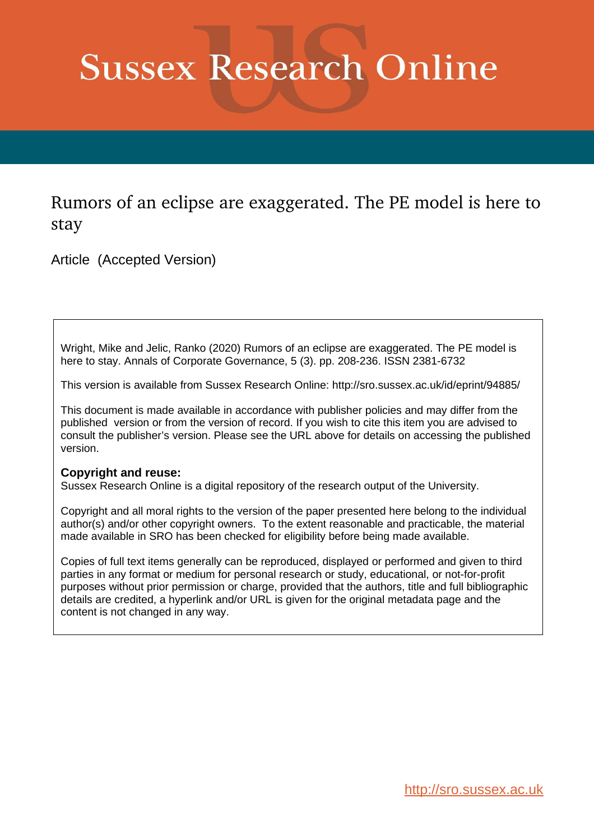# **Sussex Research Online**

Rumors of an eclipse are exaggerated. The PE model is here to stay

Article (Accepted Version)

Wright, Mike and Jelic, Ranko (2020) Rumors of an eclipse are exaggerated. The PE model is here to stay. Annals of Corporate Governance, 5 (3). pp. 208-236. ISSN 2381-6732

This version is available from Sussex Research Online: http://sro.sussex.ac.uk/id/eprint/94885/

This document is made available in accordance with publisher policies and may differ from the published version or from the version of record. If you wish to cite this item you are advised to consult the publisher's version. Please see the URL above for details on accessing the published version.

# **Copyright and reuse:**

Sussex Research Online is a digital repository of the research output of the University.

Copyright and all moral rights to the version of the paper presented here belong to the individual author(s) and/or other copyright owners. To the extent reasonable and practicable, the material made available in SRO has been checked for eligibility before being made available.

Copies of full text items generally can be reproduced, displayed or performed and given to third parties in any format or medium for personal research or study, educational, or not-for-profit purposes without prior permission or charge, provided that the authors, title and full bibliographic details are credited, a hyperlink and/or URL is given for the original metadata page and the content is not changed in any way.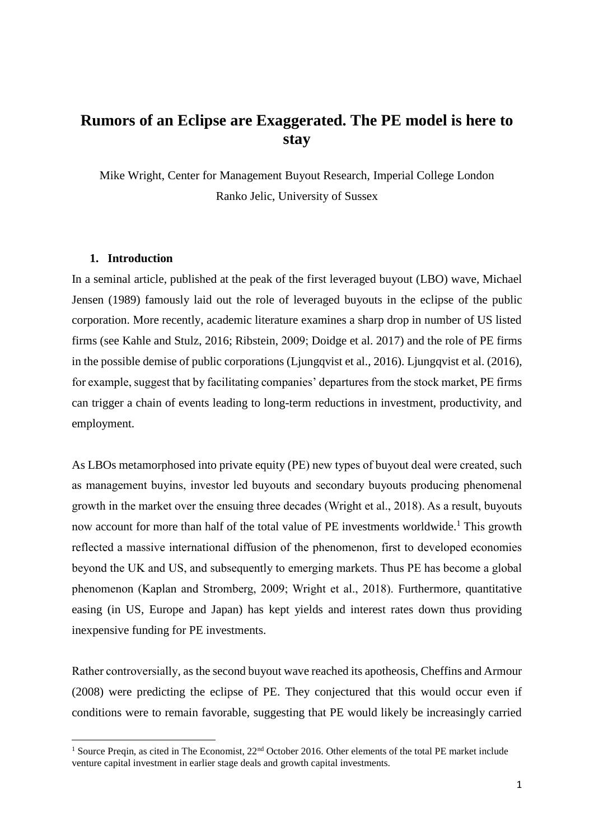# **Rumors of an Eclipse are Exaggerated. The PE model is here to stay**

Mike Wright, Center for Management Buyout Research, Imperial College London Ranko Jelic, University of Sussex

## **1. Introduction**

1

In a seminal article, published at the peak of the first leveraged buyout (LBO) wave, Michael Jensen (1989) famously laid out the role of leveraged buyouts in the eclipse of the public corporation. More recently, academic literature examines a sharp drop in number of US listed firms (see Kahle and Stulz, 2016; Ribstein, 2009; Doidge et al. 2017) and the role of PE firms in the possible demise of public corporations (Ljungqvist et al., 2016). Ljungqvist et al. (2016), for example, suggest that by facilitating companies' departures from the stock market, PE firms can trigger a chain of events leading to long-term reductions in investment, productivity, and employment.

As LBOs metamorphosed into private equity (PE) new types of buyout deal were created, such as management buyins, investor led buyouts and secondary buyouts producing phenomenal growth in the market over the ensuing three decades (Wright et al., 2018). As a result, buyouts now account for more than half of the total value of PE investments worldwide.<sup>1</sup> This growth reflected a massive international diffusion of the phenomenon, first to developed economies beyond the UK and US, and subsequently to emerging markets. Thus PE has become a global phenomenon (Kaplan and Stromberg, 2009; Wright et al., 2018). Furthermore, quantitative easing (in US, Europe and Japan) has kept yields and interest rates down thus providing inexpensive funding for PE investments.

Rather controversially, as the second buyout wave reached its apotheosis, Cheffins and Armour (2008) were predicting the eclipse of PE. They conjectured that this would occur even if conditions were to remain favorable, suggesting that PE would likely be increasingly carried

<sup>&</sup>lt;sup>1</sup> Source Preqin, as cited in The Economist,  $22<sup>nd</sup>$  October 2016. Other elements of the total PE market include venture capital investment in earlier stage deals and growth capital investments.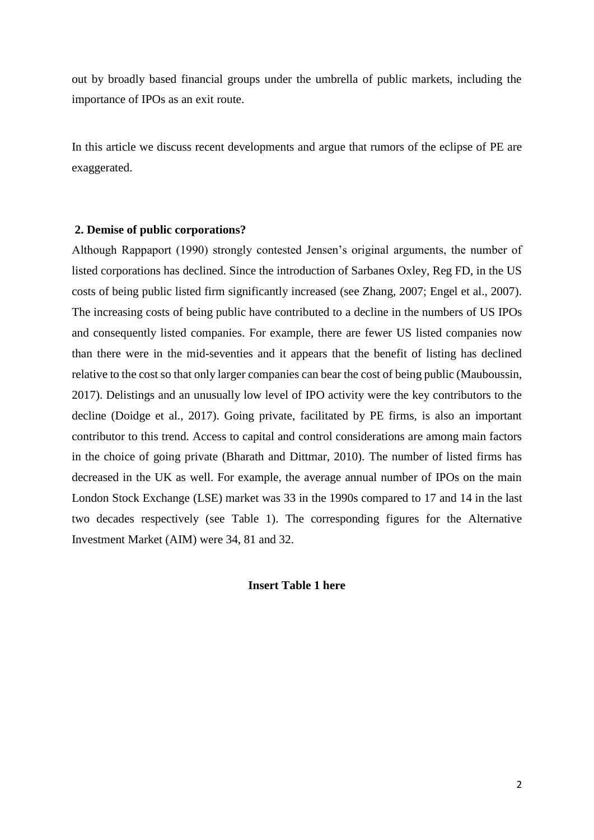out by broadly based financial groups under the umbrella of public markets, including the importance of IPOs as an exit route.

In this article we discuss recent developments and argue that rumors of the eclipse of PE are exaggerated.

### **2. Demise of public corporations?**

Although Rappaport (1990) strongly contested Jensen's original arguments, the number of listed corporations has declined. Since the introduction of Sarbanes Oxley, Reg FD, in the US costs of being public listed firm significantly increased (see Zhang, 2007; Engel et al., 2007). The increasing costs of being public have contributed to a decline in the numbers of US IPOs and consequently listed companies. For example, there are fewer US listed companies now than there were in the mid-seventies and it appears that the benefit of listing has declined relative to the cost so that only larger companies can bear the cost of being public (Mauboussin, 2017). Delistings and an unusually low level of IPO activity were the key contributors to the decline (Doidge et al., 2017). Going private, facilitated by PE firms, is also an important contributor to this trend. Access to capital and control considerations are among main factors in the choice of going private (Bharath and Dittmar, 2010). The number of listed firms has decreased in the UK as well. For example, the average annual number of IPOs on the main London Stock Exchange (LSE) market was 33 in the 1990s compared to 17 and 14 in the last two decades respectively (see Table 1). The corresponding figures for the Alternative Investment Market (AIM) were 34, 81 and 32.

# **Insert Table 1 here**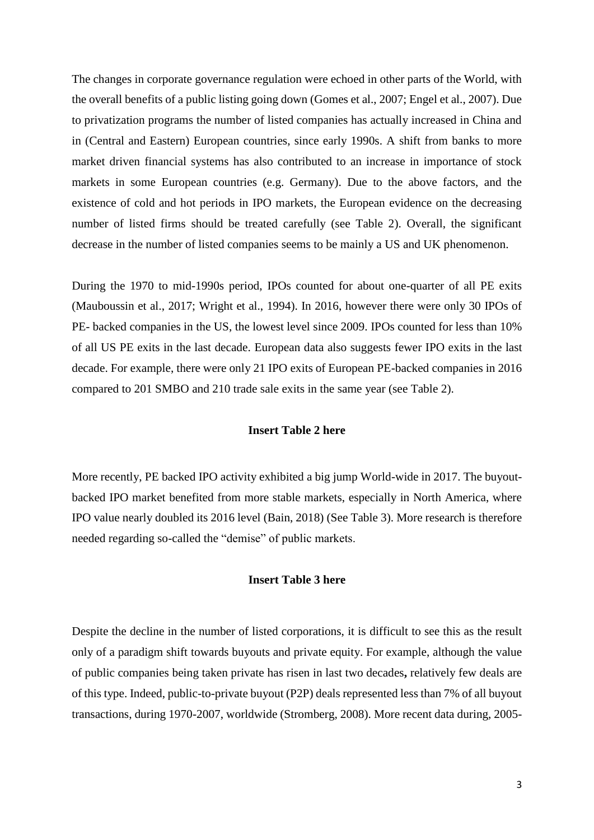The changes in corporate governance regulation were echoed in other parts of the World, with the overall benefits of a public listing going down (Gomes et al., 2007; Engel et al., 2007). Due to privatization programs the number of listed companies has actually increased in China and in (Central and Eastern) European countries, since early 1990s. A shift from banks to more market driven financial systems has also contributed to an increase in importance of stock markets in some European countries (e.g. Germany). Due to the above factors, and the existence of cold and hot periods in IPO markets, the European evidence on the decreasing number of listed firms should be treated carefully (see Table 2). Overall, the significant decrease in the number of listed companies seems to be mainly a US and UK phenomenon.

During the 1970 to mid-1990s period, IPOs counted for about one-quarter of all PE exits (Mauboussin et al., 2017; Wright et al., 1994). In 2016, however there were only 30 IPOs of PE- backed companies in the US, the lowest level since 2009. IPOs counted for less than 10% of all US PE exits in the last decade. European data also suggests fewer IPO exits in the last decade. For example, there were only 21 IPO exits of European PE-backed companies in 2016 compared to 201 SMBO and 210 trade sale exits in the same year (see Table 2).

# **Insert Table 2 here**

More recently, PE backed IPO activity exhibited a big jump World-wide in 2017. The buyoutbacked IPO market benefited from more stable markets, especially in North America, where IPO value nearly doubled its 2016 level (Bain, 2018) (See Table 3). More research is therefore needed regarding so-called the "demise" of public markets.

#### **Insert Table 3 here**

Despite the decline in the number of listed corporations, it is difficult to see this as the result only of a paradigm shift towards buyouts and private equity. For example, although the value of public companies being taken private has risen in last two decades**,** relatively few deals are of this type. Indeed, public-to-private buyout (P2P) deals represented less than 7% of all buyout transactions, during 1970-2007, worldwide (Stromberg, 2008). More recent data during, 2005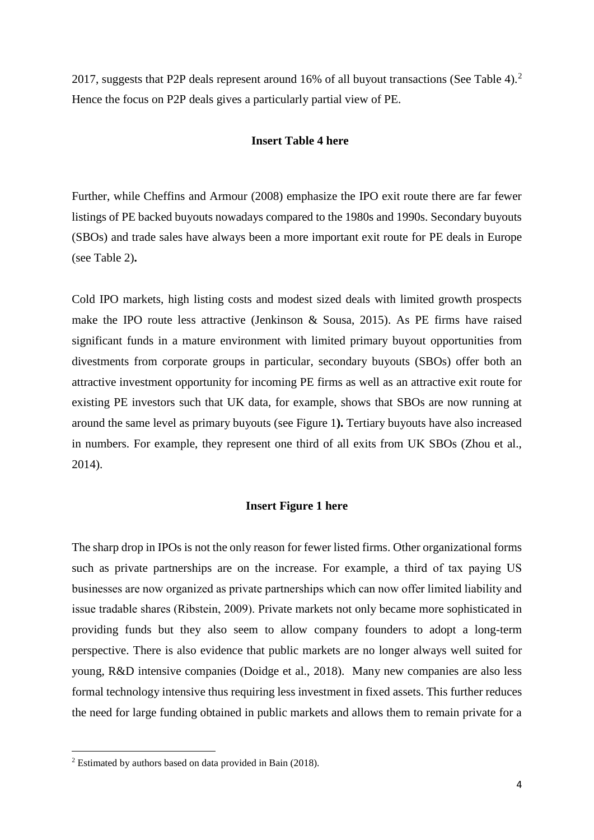2017, suggests that P2P deals represent around 16% of all buyout transactions (See Table 4).<sup>2</sup> Hence the focus on P2P deals gives a particularly partial view of PE.

# **Insert Table 4 here**

Further, while Cheffins and Armour (2008) emphasize the IPO exit route there are far fewer listings of PE backed buyouts nowadays compared to the 1980s and 1990s. Secondary buyouts (SBOs) and trade sales have always been a more important exit route for PE deals in Europe (see Table 2)**.** 

Cold IPO markets, high listing costs and modest sized deals with limited growth prospects make the IPO route less attractive (Jenkinson & Sousa, 2015). As PE firms have raised significant funds in a mature environment with limited primary buyout opportunities from divestments from corporate groups in particular, secondary buyouts (SBOs) offer both an attractive investment opportunity for incoming PE firms as well as an attractive exit route for existing PE investors such that UK data, for example, shows that SBOs are now running at around the same level as primary buyouts (see Figure 1**).** Tertiary buyouts have also increased in numbers. For example, they represent one third of all exits from UK SBOs (Zhou et al., 2014).

# **Insert Figure 1 here**

The sharp drop in IPOs is not the only reason for fewer listed firms. Other organizational forms such as private partnerships are on the increase. For example, a third of tax paying US businesses are now organized as private partnerships which can now offer limited liability and issue tradable shares (Ribstein, 2009). Private markets not only became more sophisticated in providing funds but they also seem to allow company founders to adopt a long-term perspective. There is also evidence that public markets are no longer always well suited for young, R&D intensive companies (Doidge et al., 2018). Many new companies are also less formal technology intensive thus requiring less investment in fixed assets. This further reduces the need for large funding obtained in public markets and allows them to remain private for a

**.** 

<sup>2</sup> Estimated by authors based on data provided in Bain (2018).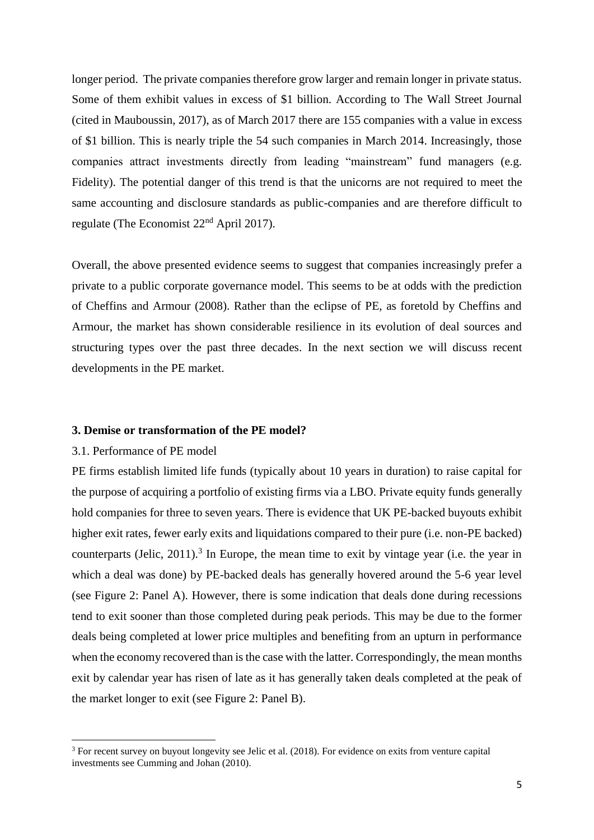longer period. The private companies therefore grow larger and remain longer in private status. Some of them exhibit values in excess of \$1 billion. According to The Wall Street Journal (cited in Mauboussin, 2017), as of March 2017 there are 155 companies with a value in excess of \$1 billion. This is nearly triple the 54 such companies in March 2014. Increasingly, those companies attract investments directly from leading "mainstream" fund managers (e.g. Fidelity). The potential danger of this trend is that the unicorns are not required to meet the same accounting and disclosure standards as public-companies and are therefore difficult to regulate (The Economist 22nd April 2017).

Overall, the above presented evidence seems to suggest that companies increasingly prefer a private to a public corporate governance model. This seems to be at odds with the prediction of Cheffins and Armour (2008). Rather than the eclipse of PE, as foretold by Cheffins and Armour, the market has shown considerable resilience in its evolution of deal sources and structuring types over the past three decades. In the next section we will discuss recent developments in the PE market.

#### **3. Demise or transformation of the PE model?**

#### 3.1. Performance of PE model

1

PE firms establish limited life funds (typically about 10 years in duration) to raise capital for the purpose of acquiring a portfolio of existing firms via a LBO. Private equity funds generally hold companies for three to seven years. There is evidence that UK PE-backed buyouts exhibit higher exit rates, fewer early exits and liquidations compared to their pure (i.e. non-PE backed) counterparts (Jelic,  $2011$ ).<sup>3</sup> In Europe, the mean time to exit by vintage year (i.e. the year in which a deal was done) by PE-backed deals has generally hovered around the 5-6 year level (see Figure 2: Panel A). However, there is some indication that deals done during recessions tend to exit sooner than those completed during peak periods. This may be due to the former deals being completed at lower price multiples and benefiting from an upturn in performance when the economy recovered than is the case with the latter. Correspondingly, the mean months exit by calendar year has risen of late as it has generally taken deals completed at the peak of the market longer to exit (see Figure 2: Panel B).

<sup>&</sup>lt;sup>3</sup> For recent survey on buyout longevity see Jelic et al. (2018). For evidence on exits from venture capital investments see Cumming and Johan (2010).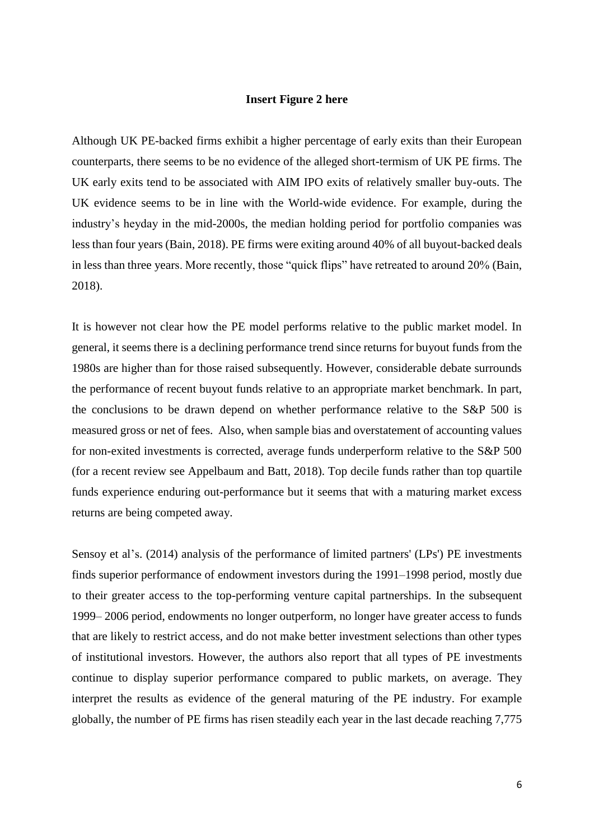#### **Insert Figure 2 here**

Although UK PE-backed firms exhibit a higher percentage of early exits than their European counterparts, there seems to be no evidence of the alleged short-termism of UK PE firms. The UK early exits tend to be associated with AIM IPO exits of relatively smaller buy-outs. The UK evidence seems to be in line with the World-wide evidence. For example, during the industry's heyday in the mid-2000s, the median holding period for portfolio companies was less than four years (Bain, 2018). PE firms were exiting around 40% of all buyout-backed deals in less than three years. More recently, those "quick flips" have retreated to around 20% (Bain, 2018).

It is however not clear how the PE model performs relative to the public market model. In general, it seems there is a declining performance trend since returns for buyout funds from the 1980s are higher than for those raised subsequently. However, considerable debate surrounds the performance of recent buyout funds relative to an appropriate market benchmark. In part, the conclusions to be drawn depend on whether performance relative to the S&P 500 is measured gross or net of fees. Also, when sample bias and overstatement of accounting values for non-exited investments is corrected, average funds underperform relative to the S&P 500 (for a recent review see Appelbaum and Batt, 2018). Top decile funds rather than top quartile funds experience enduring out-performance but it seems that with a maturing market excess returns are being competed away.

Sensoy et al's. (2014) analysis of the performance of limited partners' (LPs') PE investments finds superior performance of endowment investors during the 1991–1998 period, mostly due to their greater access to the top-performing venture capital partnerships. In the subsequent 1999– 2006 period, endowments no longer outperform, no longer have greater access to funds that are likely to restrict access, and do not make better investment selections than other types of institutional investors. However, the authors also report that all types of PE investments continue to display superior performance compared to public markets, on average. They interpret the results as evidence of the general maturing of the PE industry. For example globally, the number of PE firms has risen steadily each year in the last decade reaching 7,775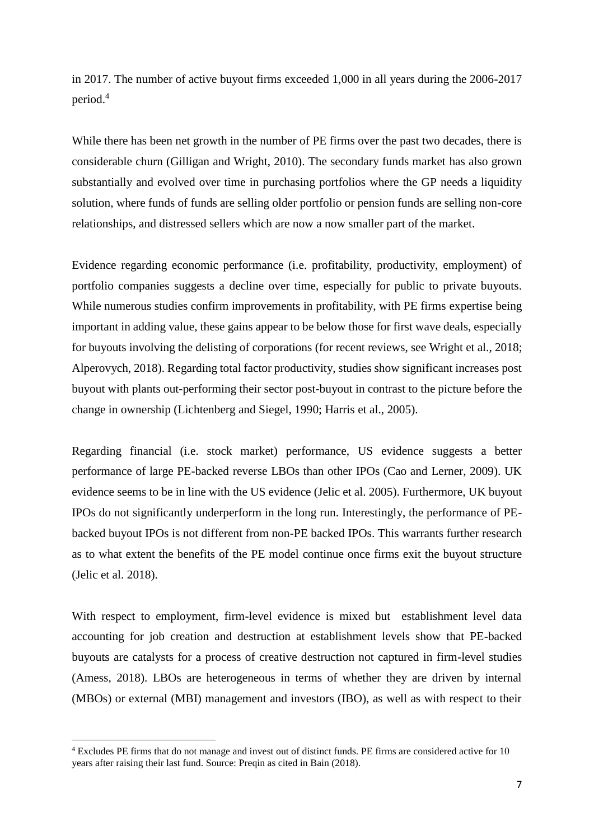in 2017. The number of active buyout firms exceeded 1,000 in all years during the 2006-2017 period.<sup>4</sup>

While there has been net growth in the number of PE firms over the past two decades, there is considerable churn (Gilligan and Wright, 2010). The secondary funds market has also grown substantially and evolved over time in purchasing portfolios where the GP needs a liquidity solution, where funds of funds are selling older portfolio or pension funds are selling non-core relationships, and distressed sellers which are now a now smaller part of the market.

Evidence regarding economic performance (i.e. profitability, productivity, employment) of portfolio companies suggests a decline over time, especially for public to private buyouts. While numerous studies confirm improvements in profitability, with PE firms expertise being important in adding value, these gains appear to be below those for first wave deals, especially for buyouts involving the delisting of corporations (for recent reviews, see Wright et al., 2018; Alperovych, 2018). Regarding total factor productivity, studies show significant increases post buyout with plants out-performing their sector post-buyout in contrast to the picture before the change in ownership (Lichtenberg and Siegel, 1990; Harris et al., 2005).

Regarding financial (i.e. stock market) performance, US evidence suggests a better performance of large PE-backed reverse LBOs than other IPOs (Cao and Lerner, 2009). UK evidence seems to be in line with the US evidence (Jelic et al. 2005). Furthermore, UK buyout IPOs do not significantly underperform in the long run. Interestingly, the performance of PEbacked buyout IPOs is not different from non-PE backed IPOs. This warrants further research as to what extent the benefits of the PE model continue once firms exit the buyout structure (Jelic et al. 2018).

With respect to employment, firm-level evidence is mixed but establishment level data accounting for job creation and destruction at establishment levels show that PE-backed buyouts are catalysts for a process of creative destruction not captured in firm-level studies (Amess, 2018). LBOs are heterogeneous in terms of whether they are driven by internal (MBOs) or external (MBI) management and investors (IBO), as well as with respect to their

1

<sup>4</sup> Excludes PE firms that do not manage and invest out of distinct funds. PE firms are considered active for 10 years after raising their last fund. Source: Preqin as cited in Bain (2018).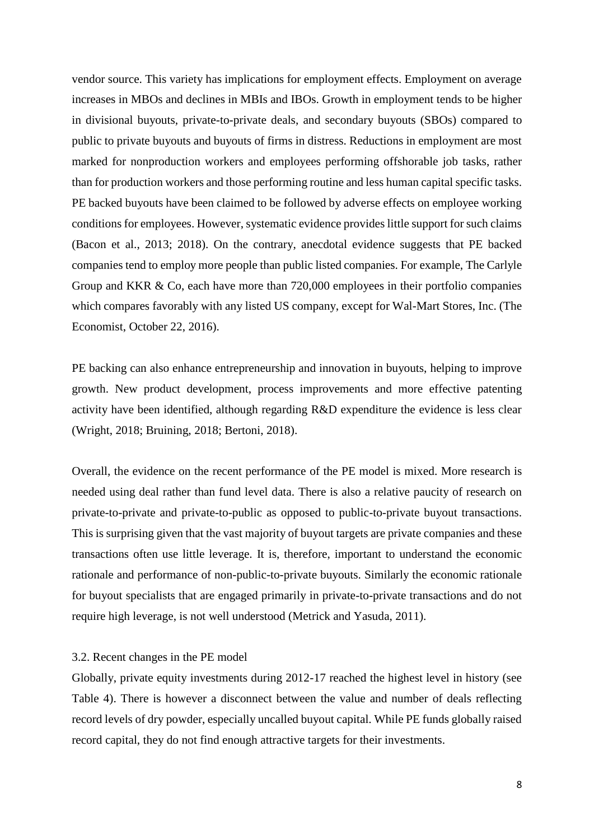vendor source. This variety has implications for employment effects. Employment on average increases in MBOs and declines in MBIs and IBOs. Growth in employment tends to be higher in divisional buyouts, private-to-private deals, and secondary buyouts (SBOs) compared to public to private buyouts and buyouts of firms in distress. Reductions in employment are most marked for nonproduction workers and employees performing offshorable job tasks, rather than for production workers and those performing routine and less human capital specific tasks. PE backed buyouts have been claimed to be followed by adverse effects on employee working conditions for employees. However, systematic evidence provides little support for such claims (Bacon et al., 2013; 2018). On the contrary, anecdotal evidence suggests that PE backed companies tend to employ more people than public listed companies. For example, The Carlyle Group and KKR & Co, each have more than 720,000 employees in their portfolio companies which compares favorably with any listed US company, except for Wal-Mart Stores, Inc. (The Economist, October 22, 2016).

PE backing can also enhance entrepreneurship and innovation in buyouts, helping to improve growth. New product development, process improvements and more effective patenting activity have been identified, although regarding R&D expenditure the evidence is less clear (Wright, 2018; Bruining, 2018; Bertoni, 2018).

Overall, the evidence on the recent performance of the PE model is mixed. More research is needed using deal rather than fund level data. There is also a relative paucity of research on private-to-private and private-to-public as opposed to public-to-private buyout transactions. This is surprising given that the vast majority of buyout targets are private companies and these transactions often use little leverage. It is, therefore, important to understand the economic rationale and performance of non-public-to-private buyouts. Similarly the economic rationale for buyout specialists that are engaged primarily in private-to-private transactions and do not require high leverage, is not well understood (Metrick and Yasuda, 2011).

#### 3.2. Recent changes in the PE model

Globally, private equity investments during 2012-17 reached the highest level in history (see Table 4). There is however a disconnect between the value and number of deals reflecting record levels of dry powder, especially uncalled buyout capital. While PE funds globally raised record capital, they do not find enough attractive targets for their investments.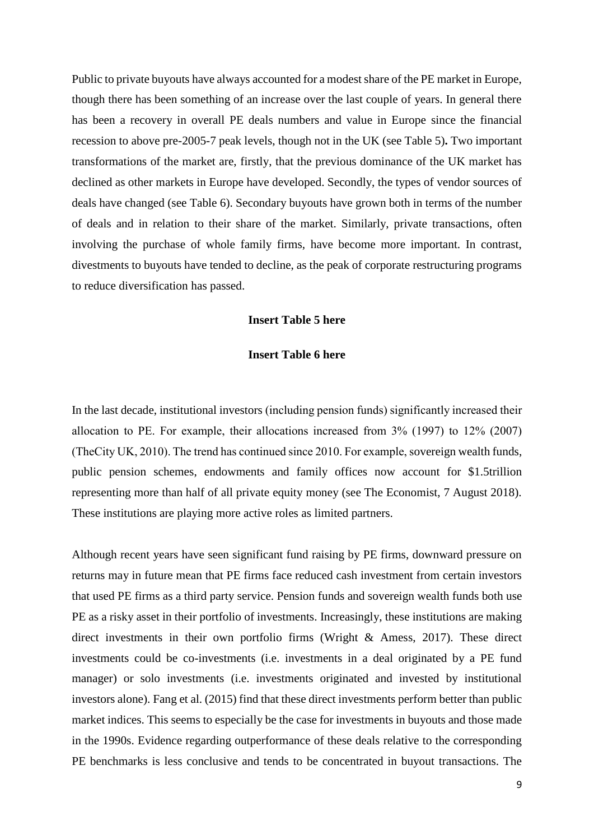Public to private buyouts have always accounted for a modest share of the PE market in Europe, though there has been something of an increase over the last couple of years. In general there has been a recovery in overall PE deals numbers and value in Europe since the financial recession to above pre-2005-7 peak levels, though not in the UK (see Table 5)**.** Two important transformations of the market are, firstly, that the previous dominance of the UK market has declined as other markets in Europe have developed. Secondly, the types of vendor sources of deals have changed (see Table 6). Secondary buyouts have grown both in terms of the number of deals and in relation to their share of the market. Similarly, private transactions, often involving the purchase of whole family firms, have become more important. In contrast, divestments to buyouts have tended to decline, as the peak of corporate restructuring programs to reduce diversification has passed.

#### **Insert Table 5 here**

# **Insert Table 6 here**

In the last decade, institutional investors (including pension funds) significantly increased their allocation to PE. For example, their allocations increased from 3% (1997) to 12% (2007) (TheCity UK, 2010). The trend has continued since 2010. For example, sovereign wealth funds, public pension schemes, endowments and family offices now account for \$1.5trillion representing more than half of all private equity money (see The Economist, 7 August 2018). These institutions are playing more active roles as limited partners.

Although recent years have seen significant fund raising by PE firms, downward pressure on returns may in future mean that PE firms face reduced cash investment from certain investors that used PE firms as a third party service. Pension funds and sovereign wealth funds both use PE as a risky asset in their portfolio of investments. Increasingly, these institutions are making direct investments in their own portfolio firms (Wright & Amess, 2017). These direct investments could be co-investments (i.e. investments in a deal originated by a PE fund manager) or solo investments (i.e. investments originated and invested by institutional investors alone). Fang et al. (2015) find that these direct investments perform better than public market indices. This seems to especially be the case for investments in buyouts and those made in the 1990s. Evidence regarding outperformance of these deals relative to the corresponding PE benchmarks is less conclusive and tends to be concentrated in buyout transactions. The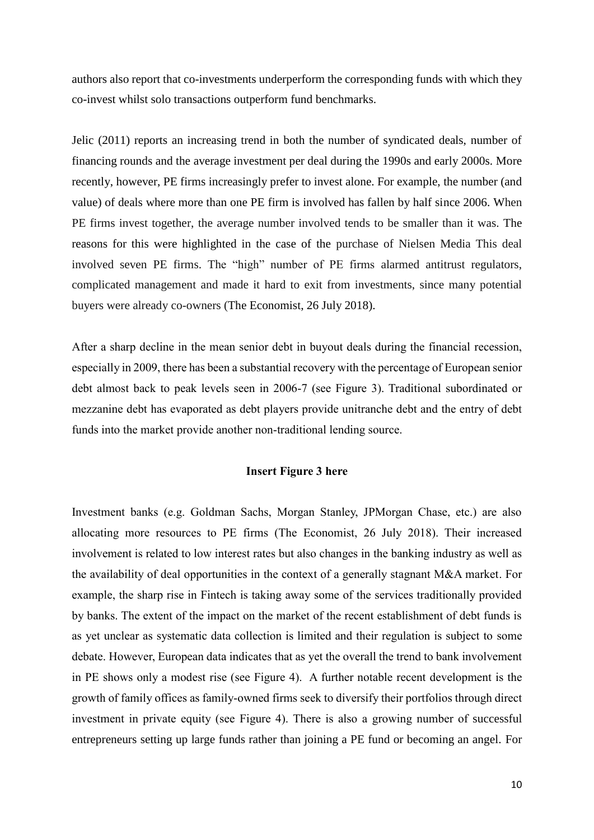authors also report that co-investments underperform the corresponding funds with which they co-invest whilst solo transactions outperform fund benchmarks.

Jelic (2011) reports an increasing trend in both the number of syndicated deals, number of financing rounds and the average investment per deal during the 1990s and early 2000s. More recently, however, PE firms increasingly prefer to invest alone. For example, the number (and value) of deals where more than one PE firm is involved has fallen by half since 2006. When PE firms invest together, the average number involved tends to be smaller than it was. The reasons for this were highlighted in the case of the purchase of Nielsen Media This deal involved seven PE firms. The "high" number of PE firms alarmed antitrust regulators, complicated management and made it hard to exit from investments, since many potential buyers were already co-owners (The Economist, 26 July 2018).

After a sharp decline in the mean senior debt in buyout deals during the financial recession, especially in 2009, there has been a substantial recovery with the percentage of European senior debt almost back to peak levels seen in 2006-7 (see Figure 3). Traditional subordinated or mezzanine debt has evaporated as debt players provide unitranche debt and the entry of debt funds into the market provide another non-traditional lending source.

#### **Insert Figure 3 here**

Investment banks (e.g. Goldman Sachs, Morgan Stanley, JPMorgan Chase, etc.) are also allocating more resources to PE firms (The Economist, 26 July 2018). Their increased involvement is related to low interest rates but also changes in the banking industry as well as the availability of deal opportunities in the context of a generally stagnant M&A market. For example, the sharp rise in Fintech is taking away some of the services traditionally provided by banks. The extent of the impact on the market of the recent establishment of debt funds is as yet unclear as systematic data collection is limited and their regulation is subject to some debate. However, European data indicates that as yet the overall the trend to bank involvement in PE shows only a modest rise (see Figure 4). A further notable recent development is the growth of family offices as family-owned firms seek to diversify their portfolios through direct investment in private equity (see Figure 4). There is also a growing number of successful entrepreneurs setting up large funds rather than joining a PE fund or becoming an angel. For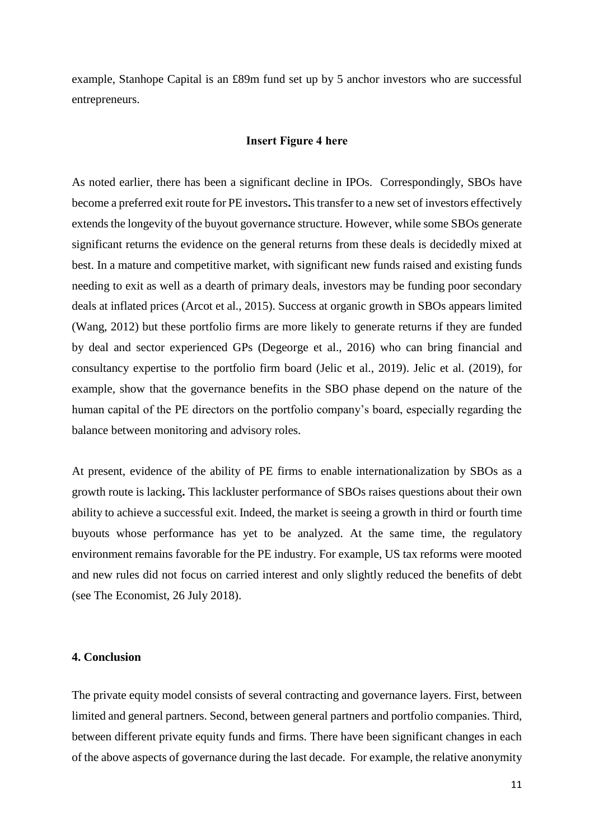example, Stanhope Capital is an £89m fund set up by 5 anchor investors who are successful entrepreneurs.

#### **Insert Figure 4 here**

As noted earlier, there has been a significant decline in IPOs. Correspondingly, SBOs have become a preferred exit route for PE investors**.** This transfer to a new set of investors effectively extends the longevity of the buyout governance structure. However, while some SBOs generate significant returns the evidence on the general returns from these deals is decidedly mixed at best. In a mature and competitive market, with significant new funds raised and existing funds needing to exit as well as a dearth of primary deals, investors may be funding poor secondary deals at inflated prices (Arcot et al., 2015). Success at organic growth in SBOs appears limited (Wang, 2012) but these portfolio firms are more likely to generate returns if they are funded by deal and sector experienced GPs (Degeorge et al., 2016) who can bring financial and consultancy expertise to the portfolio firm board (Jelic et al., 2019). Jelic et al. (2019), for example, show that the governance benefits in the SBO phase depend on the nature of the human capital of the PE directors on the portfolio company's board, especially regarding the balance between monitoring and advisory roles.

At present, evidence of the ability of PE firms to enable internationalization by SBOs as a growth route is lacking**.** This lackluster performance of SBOs raises questions about their own ability to achieve a successful exit. Indeed, the market is seeing a growth in third or fourth time buyouts whose performance has yet to be analyzed. At the same time, the regulatory environment remains favorable for the PE industry. For example, US tax reforms were mooted and new rules did not focus on carried interest and only slightly reduced the benefits of debt (see The Economist, 26 July 2018).

## **4. Conclusion**

The private equity model consists of several contracting and governance layers. First, between limited and general partners. Second, between general partners and portfolio companies. Third, between different private equity funds and firms. There have been significant changes in each of the above aspects of governance during the last decade. For example, the relative anonymity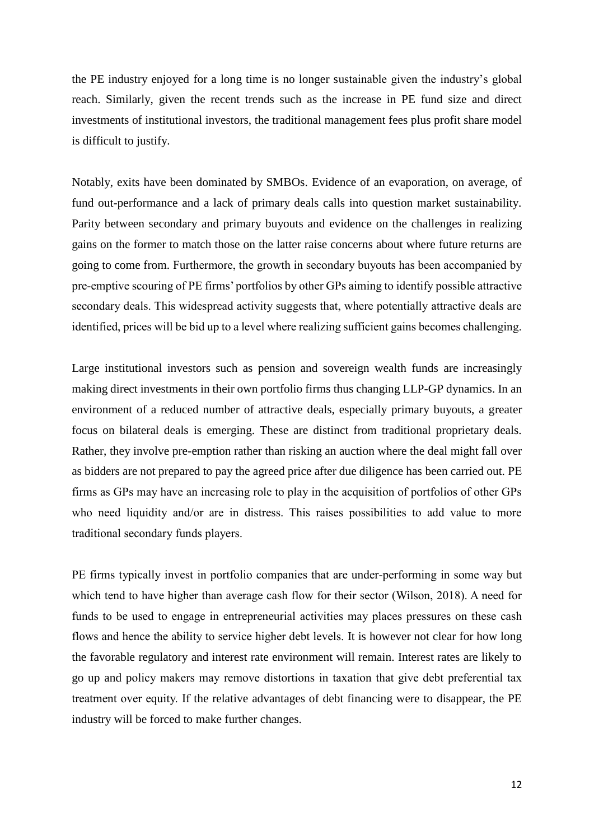the PE industry enjoyed for a long time is no longer sustainable given the industry's global reach. Similarly, given the recent trends such as the increase in PE fund size and direct investments of institutional investors, the traditional management fees plus profit share model is difficult to justify.

Notably, exits have been dominated by SMBOs. Evidence of an evaporation, on average, of fund out-performance and a lack of primary deals calls into question market sustainability. Parity between secondary and primary buyouts and evidence on the challenges in realizing gains on the former to match those on the latter raise concerns about where future returns are going to come from. Furthermore, the growth in secondary buyouts has been accompanied by pre-emptive scouring of PE firms' portfolios by other GPs aiming to identify possible attractive secondary deals. This widespread activity suggests that, where potentially attractive deals are identified, prices will be bid up to a level where realizing sufficient gains becomes challenging.

Large institutional investors such as pension and sovereign wealth funds are increasingly making direct investments in their own portfolio firms thus changing LLP-GP dynamics. In an environment of a reduced number of attractive deals, especially primary buyouts, a greater focus on bilateral deals is emerging. These are distinct from traditional proprietary deals. Rather, they involve pre-emption rather than risking an auction where the deal might fall over as bidders are not prepared to pay the agreed price after due diligence has been carried out. PE firms as GPs may have an increasing role to play in the acquisition of portfolios of other GPs who need liquidity and/or are in distress. This raises possibilities to add value to more traditional secondary funds players.

PE firms typically invest in portfolio companies that are under-performing in some way but which tend to have higher than average cash flow for their sector (Wilson, 2018). A need for funds to be used to engage in entrepreneurial activities may places pressures on these cash flows and hence the ability to service higher debt levels. It is however not clear for how long the favorable regulatory and interest rate environment will remain. Interest rates are likely to go up and policy makers may remove distortions in taxation that give debt preferential tax treatment over equity. If the relative advantages of debt financing were to disappear, the PE industry will be forced to make further changes.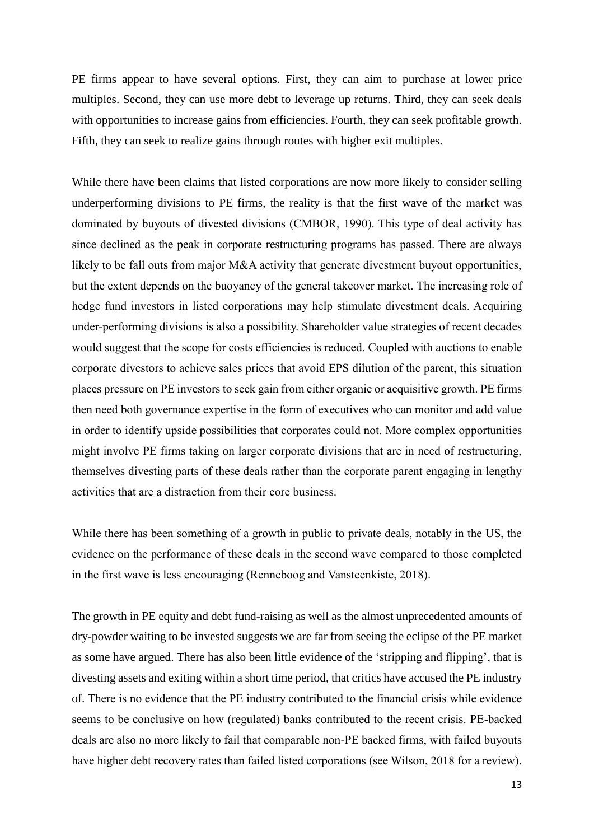PE firms appear to have several options. First, they can aim to purchase at lower price multiples. Second, they can use more debt to leverage up returns. Third, they can seek deals with opportunities to increase gains from efficiencies. Fourth, they can seek profitable growth. Fifth, they can seek to realize gains through routes with higher exit multiples.

While there have been claims that listed corporations are now more likely to consider selling underperforming divisions to PE firms, the reality is that the first wave of the market was dominated by buyouts of divested divisions (CMBOR, 1990). This type of deal activity has since declined as the peak in corporate restructuring programs has passed. There are always likely to be fall outs from major M&A activity that generate divestment buyout opportunities, but the extent depends on the buoyancy of the general takeover market. The increasing role of hedge fund investors in listed corporations may help stimulate divestment deals. Acquiring under-performing divisions is also a possibility. Shareholder value strategies of recent decades would suggest that the scope for costs efficiencies is reduced. Coupled with auctions to enable corporate divestors to achieve sales prices that avoid EPS dilution of the parent, this situation places pressure on PE investors to seek gain from either organic or acquisitive growth. PE firms then need both governance expertise in the form of executives who can monitor and add value in order to identify upside possibilities that corporates could not. More complex opportunities might involve PE firms taking on larger corporate divisions that are in need of restructuring, themselves divesting parts of these deals rather than the corporate parent engaging in lengthy activities that are a distraction from their core business.

While there has been something of a growth in public to private deals, notably in the US, the evidence on the performance of these deals in the second wave compared to those completed in the first wave is less encouraging (Renneboog and Vansteenkiste, 2018).

The growth in PE equity and debt fund-raising as well as the almost unprecedented amounts of dry-powder waiting to be invested suggests we are far from seeing the eclipse of the PE market as some have argued. There has also been little evidence of the 'stripping and flipping', that is divesting assets and exiting within a short time period, that critics have accused the PE industry of. There is no evidence that the PE industry contributed to the financial crisis while evidence seems to be conclusive on how (regulated) banks contributed to the recent crisis. PE-backed deals are also no more likely to fail that comparable non-PE backed firms, with failed buyouts have higher debt recovery rates than failed listed corporations (see Wilson, 2018 for a review).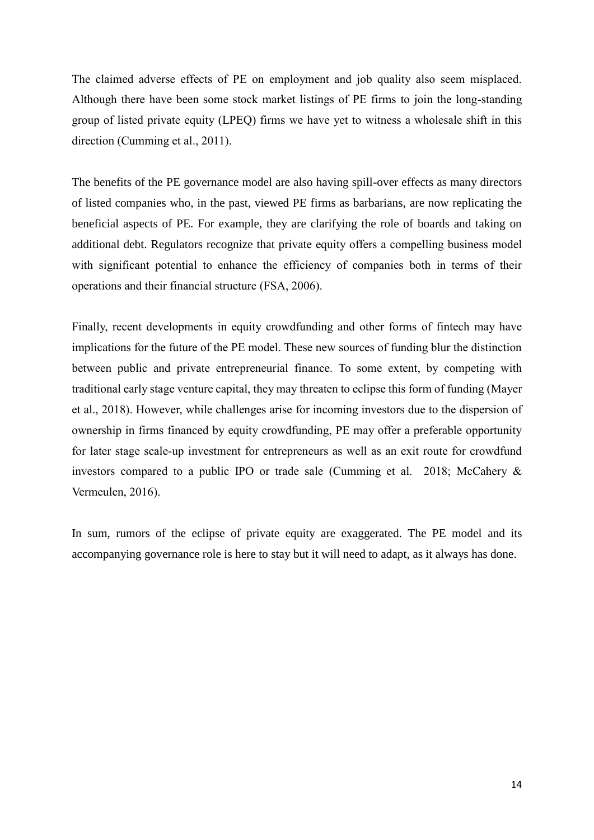The claimed adverse effects of PE on employment and job quality also seem misplaced. Although there have been some stock market listings of PE firms to join the long-standing group of listed private equity (LPEQ) firms we have yet to witness a wholesale shift in this direction (Cumming et al., 2011).

The benefits of the PE governance model are also having spill-over effects as many directors of listed companies who, in the past, viewed PE firms as barbarians, are now replicating the beneficial aspects of PE. For example, they are clarifying the role of boards and taking on additional debt. Regulators recognize that private equity offers a compelling business model with significant potential to enhance the efficiency of companies both in terms of their operations and their financial structure (FSA, 2006).

Finally, recent developments in equity crowdfunding and other forms of fintech may have implications for the future of the PE model. These new sources of funding blur the distinction between public and private entrepreneurial finance. To some extent, by competing with traditional early stage venture capital, they may threaten to eclipse this form of funding (Mayer et al., 2018). However, while challenges arise for incoming investors due to the dispersion of ownership in firms financed by equity crowdfunding, PE may offer a preferable opportunity for later stage scale-up investment for entrepreneurs as well as an exit route for crowdfund investors compared to a public IPO or trade sale (Cumming et al. 2018; McCahery & Vermeulen, 2016).

In sum, rumors of the eclipse of private equity are exaggerated. The PE model and its accompanying governance role is here to stay but it will need to adapt, as it always has done.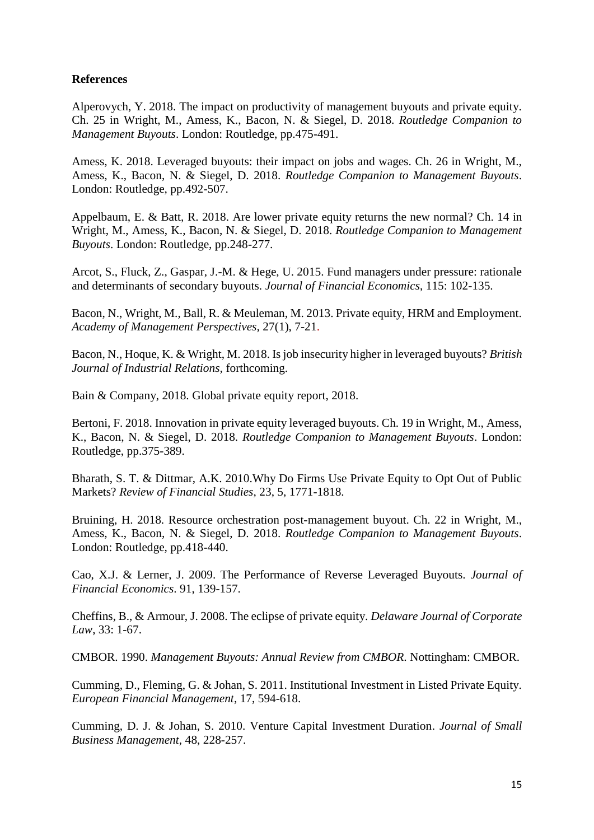# **References**

Alperovych, Y. 2018. The impact on productivity of management buyouts and private equity. Ch. 25 in Wright, M., Amess, K., Bacon, N. & Siegel, D. 2018. *Routledge Companion to Management Buyouts*. London: Routledge, pp.475-491.

Amess, K. 2018. Leveraged buyouts: their impact on jobs and wages. Ch. 26 in Wright, M., Amess, K., Bacon, N. & Siegel, D. 2018. *Routledge Companion to Management Buyouts*. London: Routledge, pp.492-507.

Appelbaum, E. & Batt, R. 2018. Are lower private equity returns the new normal? Ch. 14 in Wright, M., Amess, K., Bacon, N. & Siegel, D. 2018. *Routledge Companion to Management Buyouts*. London: Routledge, pp.248-277.

Arcot, S., Fluck, Z., Gaspar, J.-M. & Hege, U. 2015. Fund managers under pressure: rationale and determinants of secondary buyouts. *Journal of Financial Economics*, 115: 102-135.

Bacon, N., Wright, M., Ball, R. & Meuleman, M. 2013. Private equity, HRM and Employment. *Academy of Management Perspectives,* 27(1), 7-21.

Bacon, N., Hoque, K. & Wright, M. 2018. Is job insecurity higher in leveraged buyouts? *British Journal of Industrial Relations,* forthcoming.

Bain & Company, 2018. Global private equity report, 2018.

Bertoni, F. 2018. Innovation in private equity leveraged buyouts. Ch. 19 in Wright, M., Amess, K., Bacon, N. & Siegel, D. 2018. *Routledge Companion to Management Buyouts*. London: Routledge, pp.375-389.

Bharath, S. T. & Dittmar, A.K. 2010.Why Do Firms Use Private Equity to Opt Out of Public Markets? *Review of Financial Studies*, 23, 5, 1771-1818.

Bruining, H. 2018. Resource orchestration post-management buyout. Ch. 22 in Wright, M., Amess, K., Bacon, N. & Siegel, D. 2018. *Routledge Companion to Management Buyouts*. London: Routledge, pp.418-440.

Cao, X.J. & Lerner, J. 2009. The Performance of Reverse Leveraged Buyouts. *Journal of Financial Economics*. 91, 139-157.

Cheffins, B., & Armour, J. 2008. The eclipse of private equity. *Delaware Journal of Corporate Law*, 33: 1-67.

CMBOR. 1990. *Management Buyouts: Annual Review from CMBOR*. Nottingham: CMBOR.

Cumming, D., Fleming, G. & Johan, S. 2011. Institutional Investment in Listed Private Equity. *European Financial Management*, 17, 594-618.

Cumming, D. J. & Johan, S. 2010. Venture Capital Investment Duration. *Journal of Small Business Management,* 48, 228-257.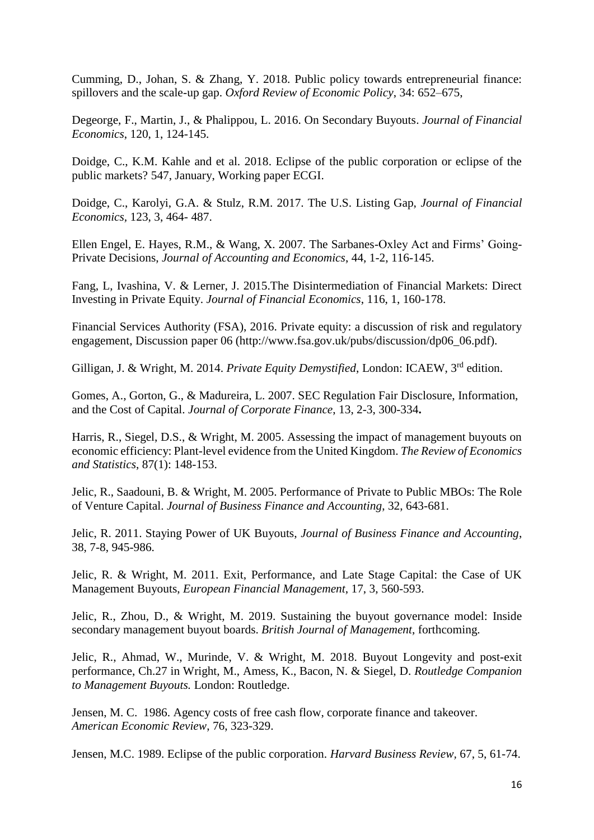Cumming, D., Johan, S. & Zhang, Y. 2018. Public policy towards entrepreneurial finance: spillovers and the scale-up gap. *Oxford Review of Economic Policy*, 34: 652–675,

Degeorge, F., Martin, J., & Phalippou, L. 2016. On Secondary Buyouts. *Journal of Financial Economics*, 120, 1, 124-145.

Doidge, C., K.M. Kahle and et al. 2018. Eclipse of the public corporation or eclipse of the public markets? 547, January, Working paper ECGI.

Doidge, C., Karolyi, G.A. & Stulz, R.M. 2017. The U.S. Listing Gap, *Journal of Financial Economics,* 123, 3, 464- 487.

Ellen Engel, E. Hayes, R.M., & Wang, X. 2007. The Sarbanes-Oxley Act and Firms' Going-Private Decisions, *Journal of Accounting and Economics*, 44, 1-2, 116-145.

Fang, L, Ivashina, V. & Lerner, J. 2015.The Disintermediation of Financial Markets: Direct Investing in Private Equity. *Journal of Financial Economics*, 116, 1, 160-178.

Financial Services Authority (FSA), 2016. Private equity: a discussion of risk and regulatory engagement, Discussion paper 06 (http://www.fsa.gov.uk/pubs/discussion/dp06\_06.pdf).

Gilligan, J. & Wright, M. 2014. *Private Equity Demystified*, London: ICAEW, 3rd edition.

Gomes, A., Gorton, G., & Madureira, L. 2007. SEC Regulation Fair Disclosure, Information, and the Cost of Capital. *Journal of Corporate Finance*, 13, 2-3, 300-334**.**

Harris, R., Siegel, D.S., & Wright, M. 2005. Assessing the impact of management buyouts on economic efficiency: Plant-level evidence from the United Kingdom. *The Review of Economics and Statistics*, 87(1): 148-153.

Jelic, R., Saadouni, B. & Wright, M. 2005. Performance of Private to Public MBOs: The Role of Venture Capital. *Journal of Business Finance and Accounting*, 32, 643-681.

Jelic, R. 2011. Staying Power of UK Buyouts, *Journal of Business Finance and Accounting*, 38, 7-8, 945-986.

Jelic, R. & Wright, M. 2011. Exit, Performance, and Late Stage Capital: the Case of UK Management Buyouts, *European Financial Management*, 17, 3, 560-593.

Jelic, R., Zhou, D., & Wright, M. 2019. Sustaining the buyout governance model: Inside secondary management buyout boards. *British Journal of Management*, forthcoming.

Jelic, R., Ahmad, W., Murinde, V. & Wright, M. 2018. Buyout Longevity and post-exit performance, Ch.27 in Wright, M., Amess, K., Bacon, N. & Siegel, D. *Routledge Companion to Management Buyouts.* London: Routledge.

Jensen, M. C. 1986. Agency costs of free cash flow, corporate finance and takeover. *American Economic Review*, 76, 323-329.

Jensen, M.C. 1989. Eclipse of the public corporation. *Harvard Business Review,* 67, 5, 61-74.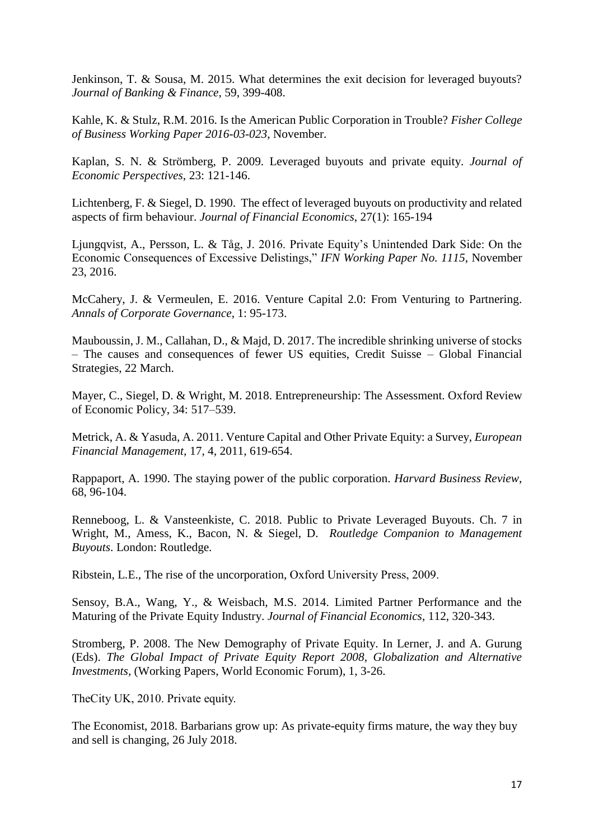Jenkinson, T. & Sousa, M. 2015. [What determines the exit decision for leveraged buyouts?](https://ideas.repec.org/a/eee/jbfina/v59y2015icp399-408.html) *[Journal of Banking & Finance,](https://ideas.repec.org/s/eee/jbfina.html)* 59, 399-408.

Kahle, K. & Stulz, R.M. 2016. Is the American Public Corporation in Trouble? *Fisher College of Business Working Paper 2016-03-023*, November.

Kaplan, S. N. & Strömberg, P. 2009. Leveraged buyouts and private equity. *Journal of Economic Perspectives*, 23: 121-146.

Lichtenberg, F. & Siegel, D. 1990. The effect of leveraged buyouts on productivity and related aspects of firm behaviour. *Journal of Financial Economics*, 27(1): 165-194

Ljungqvist, A., Persson, L. & Tåg, J. 2016. Private Equity's Unintended Dark Side: On the Economic Consequences of Excessive Delistings," *IFN Working Paper No. 1115*, November 23, 2016.

McCahery, J. & Vermeulen, E. 2016. Venture Capital 2.0: From Venturing to Partnering. *Annals of Corporate Governance*, 1: 95-173.

Mauboussin, J. M., Callahan, D., & Majd, D. 2017. The incredible shrinking universe of stocks – The causes and consequences of fewer US equities, Credit Suisse – Global Financial Strategies, 22 March.

Mayer, C., Siegel, D. & Wright, M. 2018. Entrepreneurship: The Assessment. Oxford Review of Economic Policy, 34: 517–539.

Metrick, A. & Yasuda, A. 2011. Venture Capital and Other Private Equity: a Survey, *European Financial Management,* 17, 4, 2011, 619-654.

Rappaport, A. 1990. The staying power of the public corporation. *Harvard Business Review*, 68, 96-104.

Renneboog, L. & Vansteenkiste, C. 2018. Public to Private Leveraged Buyouts. Ch. 7 in Wright, M., Amess, K., Bacon, N. & Siegel, D. *Routledge Companion to Management Buyouts*. London: Routledge.

Ribstein, L.E., The rise of the uncorporation, Oxford University Press, 2009.

Sensoy, B.A., Wang, Y., & Weisbach, M.S. 2014. Limited Partner Performance and the Maturing of the Private Equity Industry. *Journal of Financial Economics*, 112, 320-343.

Stromberg, P. 2008. The New Demography of Private Equity. In Lerner, J. and A. Gurung (Eds). *The Global Impact of Private Equity Report 2008, Globalization and Alternative Investments*, (Working Papers, World Economic Forum), 1, 3-26.

TheCity UK, 2010. Private equity.

The Economist, 2018. Barbarians grow up: As private-equity firms mature, the way they buy and sell is changing, 26 July 2018.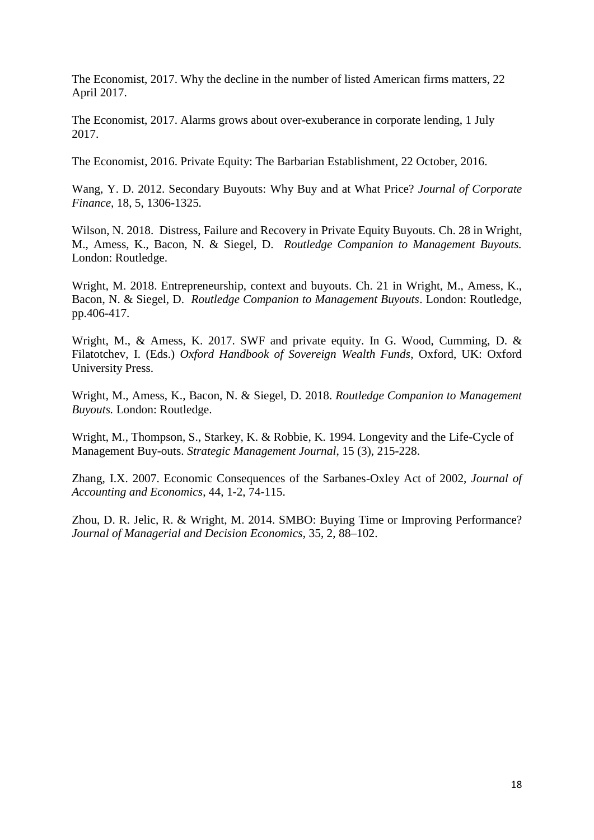The Economist, 2017. Why the decline in the number of listed American firms matters, 22 April 2017.

The Economist, 2017. Alarms grows about over-exuberance in corporate lending, 1 July 2017.

The Economist, 2016. Private Equity: The Barbarian Establishment, 22 October, 2016.

Wang, Y. D. 2012. Secondary Buyouts: Why Buy and at What Price? *Journal of Corporate Finance,* 18, 5, 1306-1325*.*

Wilson, N. 2018. Distress, Failure and Recovery in Private Equity Buyouts. Ch. 28 in Wright, M., Amess, K., Bacon, N. & Siegel, D. *Routledge Companion to Management Buyouts.* London: Routledge.

Wright, M. 2018. Entrepreneurship, context and buyouts. Ch. 21 in Wright, M., Amess, K., Bacon, N. & Siegel, D. *Routledge Companion to Management Buyouts*. London: Routledge, pp.406-417.

Wright, M., & Amess, K. 2017. SWF and private equity. In G. Wood, Cumming, D. & Filatotchev, I. (Eds.) *Oxford Handbook of Sovereign Wealth Funds*, Oxford, UK: Oxford University Press.

Wright, M., Amess, K., Bacon, N. & Siegel, D. 2018. *Routledge Companion to Management Buyouts.* London: Routledge.

Wright, M., Thompson, S., Starkey, K. & Robbie, K. 1994. Longevity and the Life-Cycle of Management Buy-outs. *Strategic Management Journal*, 15 (3), 215-228.

Zhang, I.X. 2007. Economic Consequences of the Sarbanes-Oxley Act of 2002, *Journal of Accounting and Economics*, 44, 1-2, 74-115.

Zhou, D. R. Jelic, R. & Wright, M. 2014. SMBO: Buying Time or Improving Performance? *Journal of Managerial and Decision Economics*, 35, 2, 88–102.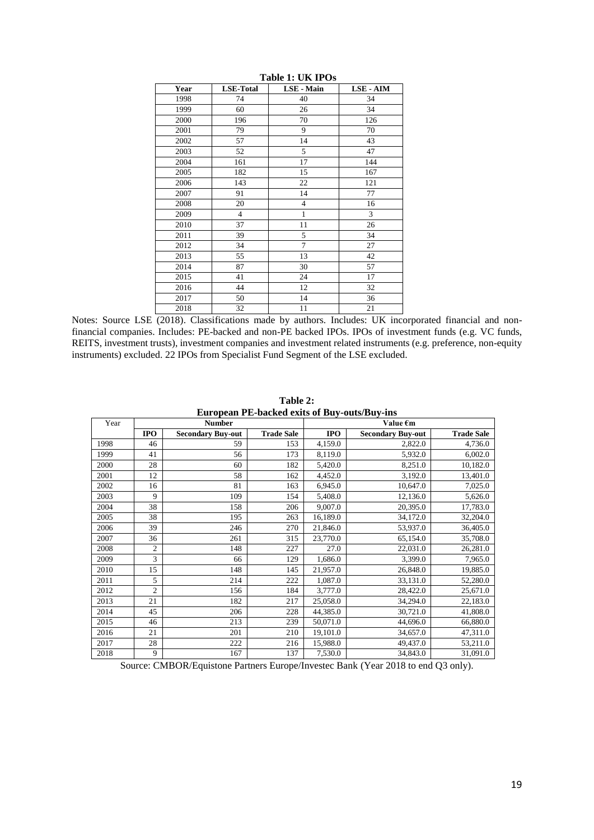| Year | <b>LSE-Total</b> | <b>LSE</b> - Main | <b>LSE - AIM</b> |
|------|------------------|-------------------|------------------|
| 1998 | 74               | 40                | 34               |
| 1999 | 60               | 26                | 34               |
| 2000 | 196              | 70                | 126              |
| 2001 | 79               | 9                 | 70               |
| 2002 | 57               | 14                | 43               |
| 2003 | 52               | 5                 | 47               |
| 2004 | 161              | 17                | 144              |
| 2005 | 182              | 15                | 167              |
| 2006 | 143              | 22                | 121              |
| 2007 | 91               | 14                | 77               |
| 2008 | 20               | $\overline{4}$    | 16               |
| 2009 | $\overline{4}$   | $\mathbf{1}$      | 3                |
| 2010 | 37               | 11                | 26               |
| 2011 | 39               | 5                 | 34               |
| 2012 | 34               | $\overline{7}$    | 27               |
| 2013 | 55               | 13                | 42               |
| 2014 | 87               | 30                | 57               |
| 2015 | 41               | 24                | 17               |
| 2016 | 44               | 12                | 32               |
| 2017 | 50               | 14                | 36               |
| 2018 | 32               | 11                | 21               |

**Table 1: UK IPOs**

Notes: Source LSE (2018). Classifications made by authors. Includes: UK incorporated financial and nonfinancial companies. Includes: PE-backed and non-PE backed IPOs. IPOs of investment funds (e.g. VC funds, REITS, investment trusts), investment companies and investment related instruments (e.g. preference, non-equity instruments) excluded. 22 IPOs from Specialist Fund Segment of the LSE excluded.

| ейгорсан т егласкси слиз от риу-ойвлриу-ніз |                |                          |                   |            |                          |                   |  |  |  |  |
|---------------------------------------------|----------------|--------------------------|-------------------|------------|--------------------------|-------------------|--|--|--|--|
| Year                                        |                | <b>Number</b>            |                   | Value €m   |                          |                   |  |  |  |  |
|                                             | <b>IPO</b>     | <b>Secondary Buy-out</b> | <b>Trade Sale</b> | <b>IPO</b> | <b>Secondary Buy-out</b> | <b>Trade Sale</b> |  |  |  |  |
| 1998                                        | 46             | 59                       | 153               | 4,159.0    | 2,822.0                  | 4,736.0           |  |  |  |  |
| 1999                                        | 41             | 56                       | 173               | 8,119.0    | 5,932.0                  | 6,002.0           |  |  |  |  |
| 2000                                        | 28             | 60                       | 182               | 5,420.0    | 8,251.0                  | 10,182.0          |  |  |  |  |
| 2001                                        | 12             | 58                       | 162               | 4,452.0    | 3,192.0                  | 13,401.0          |  |  |  |  |
| 2002                                        | 16             | 81                       | 163               | 6,945.0    | 10,647.0                 | 7,025.0           |  |  |  |  |
| 2003                                        | 9              | 109                      | 154               | 5,408.0    | 12,136.0                 | 5,626.0           |  |  |  |  |
| 2004                                        | 38             | 158                      | 206               | 9,007.0    | 20,395.0                 | 17,783.0          |  |  |  |  |
| 2005                                        | 38             | 195                      | 263               | 16,189.0   | 34,172.0                 | 32,204.0          |  |  |  |  |
| 2006                                        | 39             | 246                      | 270               | 21,846.0   | 53,937.0                 | 36,405.0          |  |  |  |  |
| 2007                                        | 36             | 261                      | 315               | 23,770.0   | 65,154.0                 | 35,708.0          |  |  |  |  |
| 2008                                        | 2              | 148                      | 227               | 27.0       | 22,031.0                 | 26,281.0          |  |  |  |  |
| 2009                                        | 3              | 66                       | 129               | 1,686.0    | 3,399.0                  | 7,965.0           |  |  |  |  |
| 2010                                        | 15             | 148                      | 145               | 21,957.0   | 26,848.0                 | 19,885.0          |  |  |  |  |
| 2011                                        | 5              | 214                      | 222               | 1,087.0    | 33,131.0                 | 52,280.0          |  |  |  |  |
| 2012                                        | $\overline{2}$ | 156                      | 184               | 3,777.0    | 28,422.0                 | 25,671.0          |  |  |  |  |
| 2013                                        | 21             | 182                      | 217               | 25,058.0   | 34,294.0                 | 22,183.0          |  |  |  |  |
| 2014                                        | 45             | 206                      | 228               | 44,385.0   | 30,721.0                 | 41,808.0          |  |  |  |  |
| 2015                                        | 46             | 213                      | 239               | 50,071.0   | 44,696.0                 | 66,880.0          |  |  |  |  |
| 2016                                        | 21             | 201                      | 210               | 19,101.0   | 34,657.0                 | 47,311.0          |  |  |  |  |
| 2017                                        | 28             | 222                      | 216               | 15,988.0   | 49,437.0                 | 53,211.0          |  |  |  |  |
| 2018                                        | 9              | 167                      | 137               | 7,530.0    | 34,843.0                 | 31,091.0          |  |  |  |  |

**Table 2: European PE-backed exits of Buy-outs/Buy-ins** 

Source: CMBOR/Equistone Partners Europe/Investec Bank (Year 2018 to end Q3 only).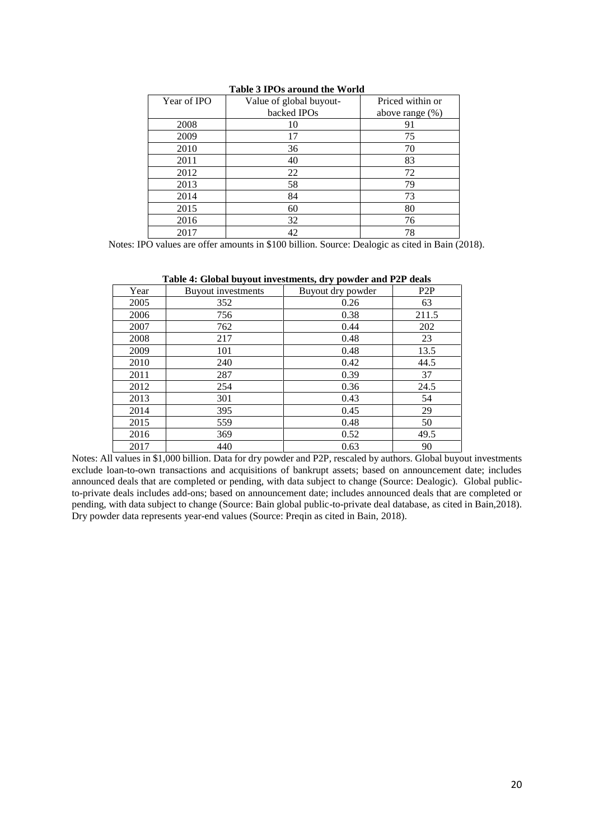| Year of IPO | Value of global buyout- | Priced within or   |
|-------------|-------------------------|--------------------|
|             | backed IPOs             | above range $(\%)$ |
| 2008        | 10                      | 91                 |
| 2009        | 17                      | 75                 |
| 2010        | 36                      | 70                 |
| 2011        | 40                      | 83                 |
| 2012        | 22                      | 72                 |
| 2013        | 58                      | 79                 |
| 2014        | 84                      | 73                 |
| 2015        | 60                      | 80                 |
| 2016        | 32                      | 76                 |
| 2017        | 42                      | 78                 |

**Table 3 IPOs around the World**

Notes: IPO values are offer amounts in \$100 billion. Source: Dealogic as cited in Bain (2018).

|      | Table 4. Giobal buybut investments, ul y powder and I 21 deals |                   |       |
|------|----------------------------------------------------------------|-------------------|-------|
| Year | Buyout investments                                             | Buyout dry powder | P2P   |
| 2005 | 352                                                            | 0.26              | 63    |
| 2006 | 756                                                            | 0.38              | 211.5 |
| 2007 | 762                                                            | 0.44              | 202   |
| 2008 | 217                                                            | 0.48              | 23    |
| 2009 | 101                                                            | 0.48              | 13.5  |
| 2010 | 240                                                            | 0.42              | 44.5  |
| 2011 | 287                                                            | 0.39              | 37    |
| 2012 | 254                                                            | 0.36              | 24.5  |
| 2013 | 301                                                            | 0.43              | 54    |
| 2014 | 395                                                            | 0.45              | 29    |
| 2015 | 559                                                            | 0.48              | 50    |
| 2016 | 369                                                            | 0.52              | 49.5  |
| 2017 | 440                                                            | 0.63              | 90    |

|  |  | Table 4: Global buyout investments, dry powder and P2P deals |  |  |
|--|--|--------------------------------------------------------------|--|--|
|--|--|--------------------------------------------------------------|--|--|

Notes: All values in \$1,000 billion. Data for dry powder and P2P, rescaled by authors. Global buyout investments exclude loan-to-own transactions and acquisitions of bankrupt assets; based on announcement date; includes announced deals that are completed or pending, with data subject to change (Source: Dealogic). Global publicto-private deals includes add-ons; based on announcement date; includes announced deals that are completed or pending, with data subject to change (Source: Bain global public-to-private deal database, as cited in Bain,2018). Dry powder data represents year-end values (Source: Preqin as cited in Bain, 2018).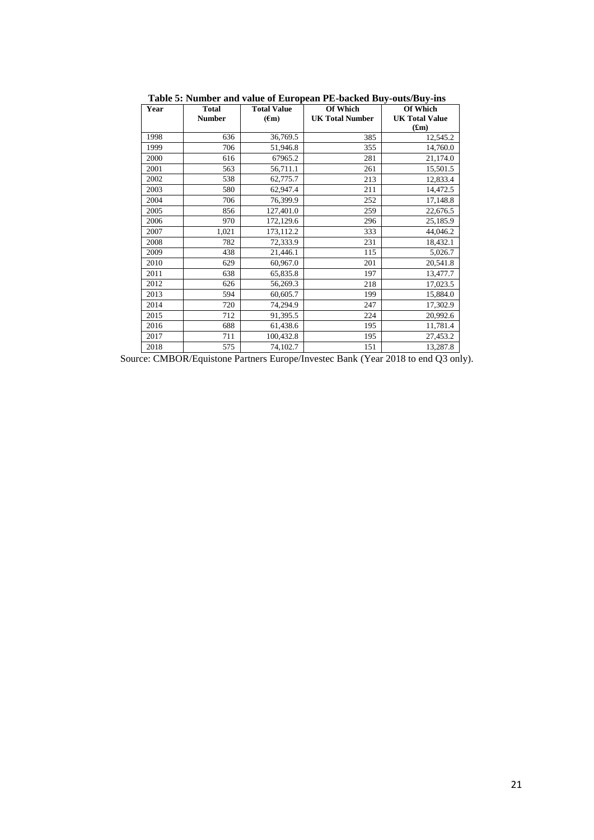|      |               | rabic of Funnocr and value of Buropean FB backed Buy | $0$ uwa Du $y$ mp      |                       |  |
|------|---------------|------------------------------------------------------|------------------------|-----------------------|--|
| Year | <b>Total</b>  | <b>Total Value</b>                                   | <b>Of Which</b>        | <b>Of Which</b>       |  |
|      | <b>Number</b> | $(\epsilon m)$                                       | <b>UK Total Number</b> | <b>UK Total Value</b> |  |
|      |               |                                                      |                        | (f.m)                 |  |
| 1998 | 636           | 36,769.5                                             | 385                    | 12,545.2              |  |
| 1999 | 706           | 51,946.8                                             | 355                    | 14,760.0              |  |
| 2000 | 616           | 67965.2                                              | 281                    | 21,174.0              |  |
| 2001 | 563           | 56,711.1                                             | 261                    | 15,501.5              |  |
| 2002 | 538           | 62,775.7                                             | 213                    | 12,833.4              |  |
| 2003 | 580           | 62,947.4                                             | 211                    | 14,472.5              |  |
| 2004 | 706           | 76,399.9                                             | 252                    | 17,148.8              |  |
| 2005 | 856           | 127,401.0                                            | 259                    | 22,676.5              |  |
| 2006 | 970           | 172,129.6                                            | 296                    | 25,185.9              |  |
| 2007 | 1,021         | 173,112.2                                            | 333                    | 44,046.2              |  |
| 2008 | 782           | 72,333.9                                             | 231                    | 18,432.1              |  |
| 2009 | 438           | 21,446.1                                             | 115                    | 5,026.7               |  |
| 2010 | 629           | 60,967.0                                             | 201                    | 20,541.8              |  |
| 2011 | 638           | 65,835.8                                             | 197                    | 13,477.7              |  |
| 2012 | 626           | 56,269.3                                             | 218                    | 17,023.5              |  |
| 2013 | 594           | 60,605.7                                             | 199                    | 15,884.0              |  |
| 2014 | 720           | 74,294.9                                             | 247                    | 17,302.9              |  |
| 2015 | 712           | 91,395.5                                             | 224                    | 20,992.6              |  |
| 2016 | 688           | 61,438.6                                             | 195                    | 11,781.4              |  |
| 2017 | 711           | 100,432.8                                            | 195                    | 27,453.2              |  |
| 2018 | 575           | 74,102.7                                             | 151                    | 13,287.8              |  |

**Table 5: Number and value of European PE-backed Buy-outs/Buy-ins** 

Source: CMBOR/Equistone Partners Europe/Investec Bank (Year 2018 to end Q3 only).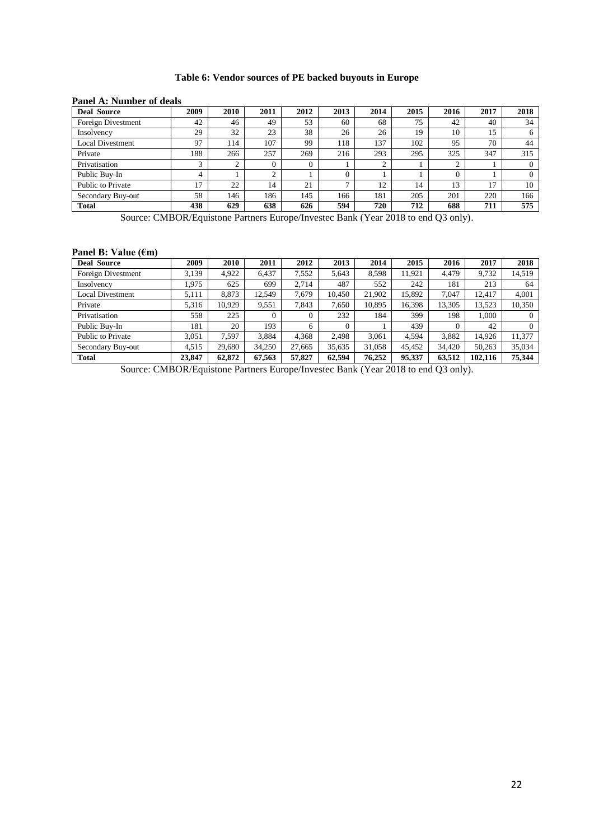# **Table 6: Vendor sources of PE backed buyouts in Europe**

| <b>Deal Source</b>      | 2009 | 2010 | 2011 | 2012 | 2013          | 2014 | 2015 | 2016 | 2017 | 2018     |
|-------------------------|------|------|------|------|---------------|------|------|------|------|----------|
| Foreign Divestment      | 42   | 46   | 49   | 53   | 60            | 68   | 75   | 42   | 40   | 34       |
| Insolvency              | 29   | 32   | 23   | 38   | 26            | 26   | 19   | 10   | 15   | 6        |
| <b>Local Divestment</b> | 97   | 114  | 107  | 99   | 118           | 137  | 102  | 95   | 70   | 44       |
| Private                 | 188  | 266  | 257  | 269  | 216           | 293  | 295  | 325  | 347  | 315      |
| Privatisation           |      | ◠    | 0    |      |               |      |      |      |      |          |
| Public Buy-In           | 4    |      | ◠    |      | $\theta$      |      |      |      |      | $\Omega$ |
| Public to Private       | 17   | 22   | 14   | 21   | $\mathcal{L}$ | 12   | 14   | 13   | 17   | 10       |
| Secondary Buy-out       | 58   | 146  | 186  | 145  | 166           | 181  | 205  | 201  | 220  | 166      |
| <b>Total</b>            | 438  | 629  | 638  | 626  | 594           | 720  | 712  | 688  | 711  | 575      |

#### **Panel A: Number of deals**

Source: CMBOR/Equistone Partners Europe/Investec Bank (Year 2018 to end Q3 only).

#### **Panel B: Value (€m)**

| <b>Deal Source</b>      | 2009   | 2010   | 2011     | 2012     | 2013     | 2014   | 2015   | 2016     | 2017    | 2018   |
|-------------------------|--------|--------|----------|----------|----------|--------|--------|----------|---------|--------|
| Foreign Divestment      | 3.139  | 4.922  | 6.437    | 7,552    | 5.643    | 8.598  | 11,921 | 4.479    | 9.732   | 14,519 |
| Insolvency              | .975   | 625    | 699      | 2.714    | 487      | 552    | 242    | 181      | 213     | 64     |
| <b>Local Divestment</b> | 5.111  | 8.873  | 12,549   | 7,679    | 10.450   | 21.902 | 15.892 | 7.047    | 12.417  | 4.001  |
| Private                 | 5.316  | 10,929 | 9,551    | 7.843    | 7,650    | 10,895 | 16,398 | 13,305   | 13,523  | 10,350 |
| Privatisation           | 558    | 225    | $\Omega$ | $\theta$ | 232      | 184    | 399    | 198      | 1.000   |        |
| Public Buy-In           | 181    | 20     | 193      | 6        | $\Omega$ |        | 439    | $\Omega$ | 42      |        |
| Public to Private       | 3.051  | 7,597  | 3.884    | 4.368    | 2.498    | 3.061  | 4.594  | 3.882    | 14.926  | 11,377 |
| Secondary Buy-out       | 4,515  | 29,680 | 34,250   | 27,665   | 35,635   | 31,058 | 45,452 | 34,420   | 50,263  | 35,034 |
| <b>Total</b>            | 23,847 | 62,872 | 67,563   | 57,827   | 62,594   | 76,252 | 95,337 | 63,512   | 102.116 | 75,344 |

Source: CMBOR/Equistone Partners Europe/Investec Bank (Year 2018 to end Q3 only).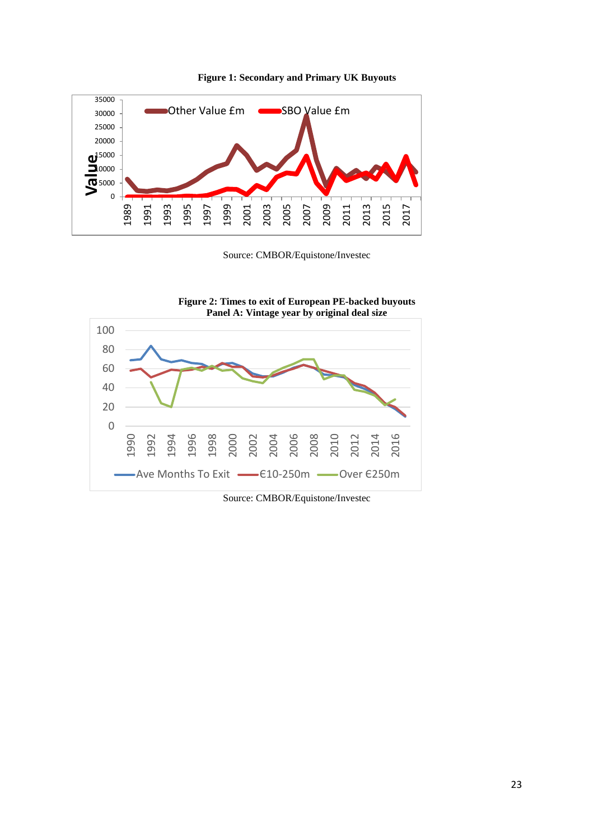

**Figure 1: Secondary and Primary UK Buyouts**

Source: CMBOR/Equistone/Investec



**Figure 2: Times to exit of European PE-backed buyouts**

Source: CMBOR/Equistone/Investec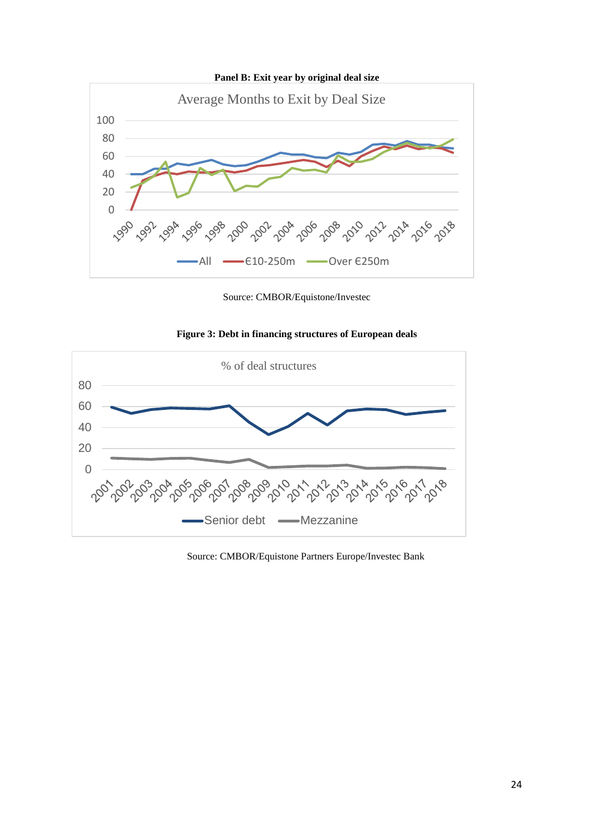

Source: CMBOR/Equistone/Investec





Source: CMBOR/Equistone Partners Europe/Investec Bank